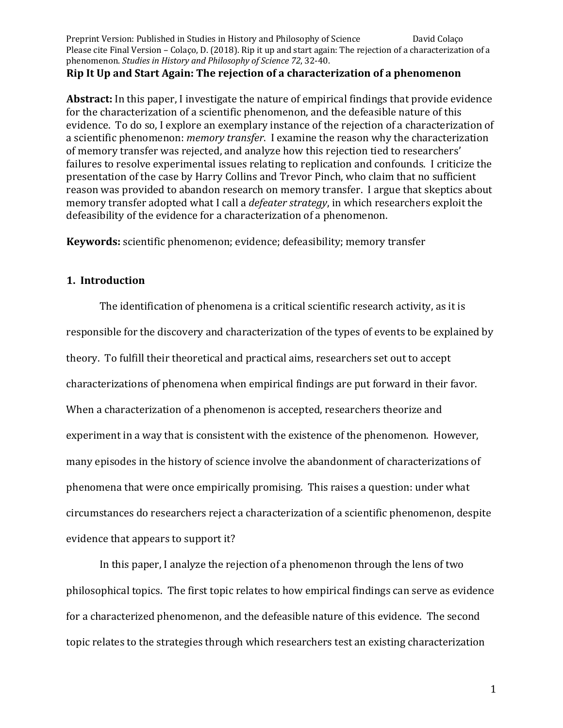## **Rip** It Up and Start Again: The rejection of a characterization of a phenomenon

**Abstract:** In this paper, I investigate the nature of empirical findings that provide evidence for the characterization of a scientific phenomenon, and the defeasible nature of this evidence. To do so, I explore an exemplary instance of the rejection of a characterization of a scientific phenomenon: *memory transfer*. I examine the reason why the characterization of memory transfer was rejected, and analyze how this rejection tied to researchers' failures to resolve experimental issues relating to replication and confounds. I criticize the presentation of the case by Harry Collins and Trevor Pinch, who claim that no sufficient reason was provided to abandon research on memory transfer. I argue that skeptics about memory transfer adopted what I call a *defeater strategy*, in which researchers exploit the defeasibility of the evidence for a characterization of a phenomenon.

**Keywords:** scientific phenomenon; evidence; defeasibility; memory transfer

# **1. Introduction**

The identification of phenomena is a critical scientific research activity, as it is responsible for the discovery and characterization of the types of events to be explained by theory. To fulfill their theoretical and practical aims, researchers set out to accept characterizations of phenomena when empirical findings are put forward in their favor. When a characterization of a phenomenon is accepted, researchers theorize and experiment in a way that is consistent with the existence of the phenomenon. However, many episodes in the history of science involve the abandonment of characterizations of phenomena that were once empirically promising. This raises a question: under what circumstances do researchers reject a characterization of a scientific phenomenon, despite evidence that appears to support it?

In this paper, I analyze the rejection of a phenomenon through the lens of two philosophical topics. The first topic relates to how empirical findings can serve as evidence for a characterized phenomenon, and the defeasible nature of this evidence. The second topic relates to the strategies through which researchers test an existing characterization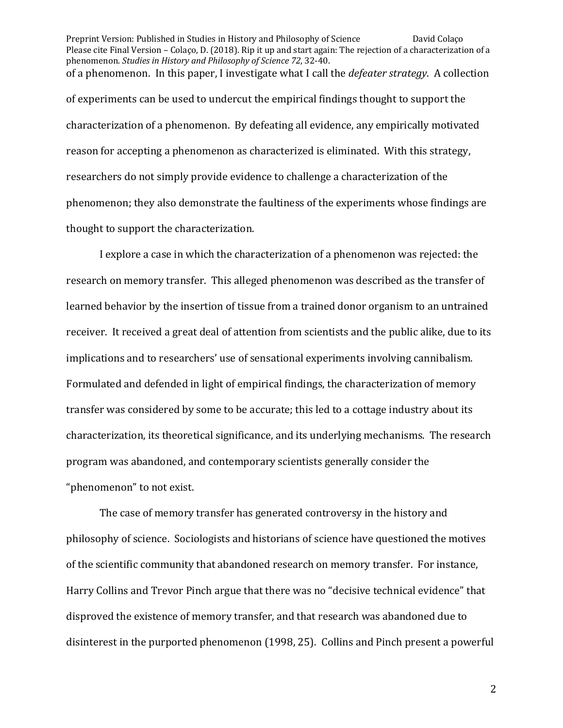Preprint Version: Published in Studies in History and Philosophy of Science David Colaço Please cite Final Version – Colaço, D. (2018). Rip it up and start again: The rejection of a characterization of a phenomenon. *Studies in History and Philosophy of Science* 72, 32-40. of a phenomenon. In this paper, I investigate what I call the *defeater strategy*. A collection of experiments can be used to undercut the empirical findings thought to support the characterization of a phenomenon. By defeating all evidence, any empirically motivated reason for accepting a phenomenon as characterized is eliminated. With this strategy, researchers do not simply provide evidence to challenge a characterization of the phenomenon; they also demonstrate the faultiness of the experiments whose findings are thought to support the characterization.

I explore a case in which the characterization of a phenomenon was rejected: the research on memory transfer. This alleged phenomenon was described as the transfer of learned behavior by the insertion of tissue from a trained donor organism to an untrained receiver. It received a great deal of attention from scientists and the public alike, due to its implications and to researchers' use of sensational experiments involving cannibalism. Formulated and defended in light of empirical findings, the characterization of memory transfer was considered by some to be accurate; this led to a cottage industry about its characterization, its theoretical significance, and its underlying mechanisms. The research program was abandoned, and contemporary scientists generally consider the "phenomenon" to not exist.

The case of memory transfer has generated controversy in the history and philosophy of science. Sociologists and historians of science have questioned the motives of the scientific community that abandoned research on memory transfer. For instance, Harry Collins and Trevor Pinch argue that there was no "decisive technical evidence" that disproved the existence of memory transfer, and that research was abandoned due to disinterest in the purported phenomenon (1998, 25). Collins and Pinch present a powerful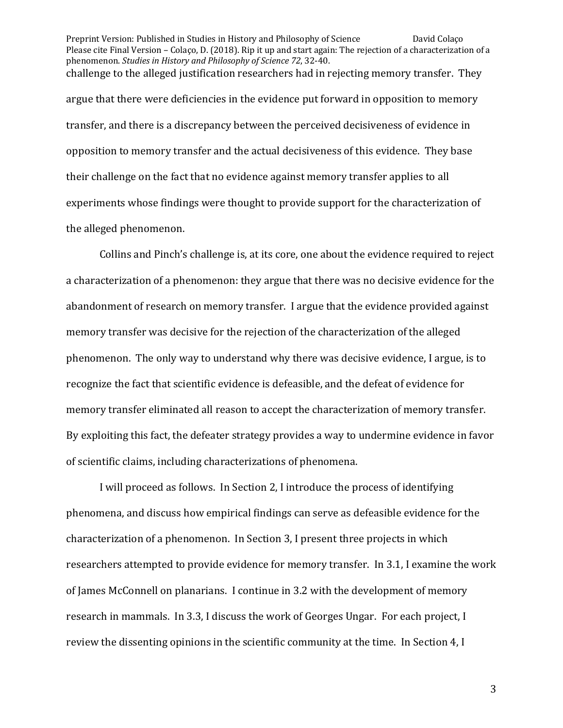Preprint Version: Published in Studies in History and Philosophy of Science David Colaço Please cite Final Version – Colaço, D. (2018). Rip it up and start again: The rejection of a characterization of a phenomenon. *Studies in History and Philosophy of Science* 72, 32-40. challenge to the alleged justification researchers had in rejecting memory transfer. They argue that there were deficiencies in the evidence put forward in opposition to memory transfer, and there is a discrepancy between the perceived decisiveness of evidence in opposition to memory transfer and the actual decisiveness of this evidence. They base their challenge on the fact that no evidence against memory transfer applies to all experiments whose findings were thought to provide support for the characterization of the alleged phenomenon.

Collins and Pinch's challenge is, at its core, one about the evidence required to reject a characterization of a phenomenon: they argue that there was no decisive evidence for the abandonment of research on memory transfer. I argue that the evidence provided against memory transfer was decisive for the rejection of the characterization of the alleged phenomenon. The only way to understand why there was decisive evidence, I argue, is to recognize the fact that scientific evidence is defeasible, and the defeat of evidence for memory transfer eliminated all reason to accept the characterization of memory transfer. By exploiting this fact, the defeater strategy provides a way to undermine evidence in favor of scientific claims, including characterizations of phenomena.

I will proceed as follows. In Section 2, I introduce the process of identifying phenomena, and discuss how empirical findings can serve as defeasible evidence for the characterization of a phenomenon. In Section 3, I present three projects in which researchers attempted to provide evidence for memory transfer. In 3.1, I examine the work of James McConnell on planarians. I continue in 3.2 with the development of memory research in mammals. In 3.3, I discuss the work of Georges Ungar. For each project, I review the dissenting opinions in the scientific community at the time. In Section 4, I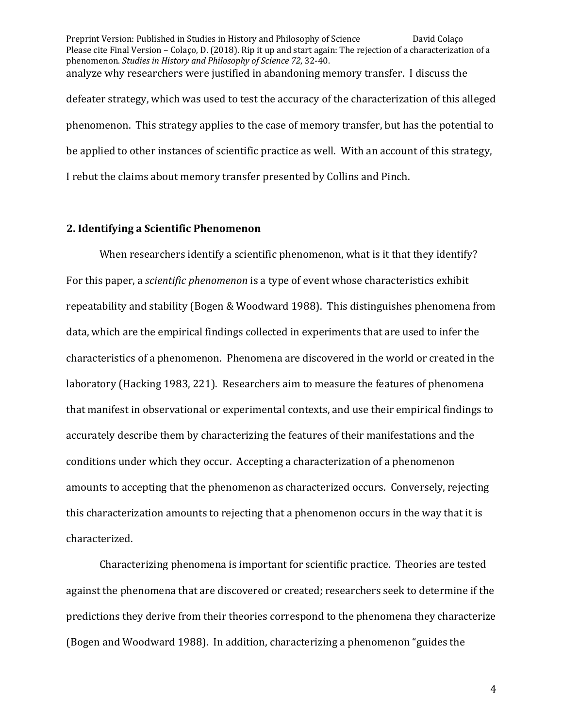Preprint Version: Published in Studies in History and Philosophy of Science David Colaço Please cite Final Version – Colaço, D. (2018). Rip it up and start again: The rejection of a characterization of a phenomenon. *Studies in History and Philosophy of Science* 72, 32-40. analyze why researchers were justified in abandoning memory transfer. I discuss the defeater strategy, which was used to test the accuracy of the characterization of this alleged phenomenon. This strategy applies to the case of memory transfer, but has the potential to be applied to other instances of scientific practice as well. With an account of this strategy, I rebut the claims about memory transfer presented by Collins and Pinch.

#### **2. Identifying a Scientific Phenomenon**

When researchers identify a scientific phenomenon, what is it that they identify? For this paper, a *scientific phenomenon* is a type of event whose characteristics exhibit repeatability and stability (Bogen & Woodward 1988). This distinguishes phenomena from data, which are the empirical findings collected in experiments that are used to infer the characteristics of a phenomenon. Phenomena are discovered in the world or created in the laboratory (Hacking 1983, 221). Researchers aim to measure the features of phenomena that manifest in observational or experimental contexts, and use their empirical findings to accurately describe them by characterizing the features of their manifestations and the conditions under which they occur. Accepting a characterization of a phenomenon amounts to accepting that the phenomenon as characterized occurs. Conversely, rejecting this characterization amounts to rejecting that a phenomenon occurs in the way that it is characterized.

Characterizing phenomena is important for scientific practice. Theories are tested against the phenomena that are discovered or created; researchers seek to determine if the predictions they derive from their theories correspond to the phenomena they characterize (Bogen and Woodward 1988). In addition, characterizing a phenomenon "guides the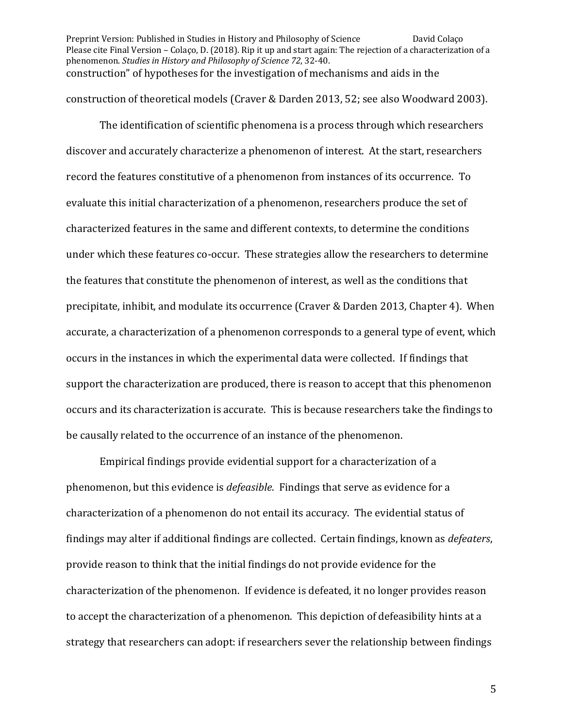Preprint Version: Published in Studies in History and Philosophy of Science David Colaço Please cite Final Version – Colaço, D. (2018). Rip it up and start again: The rejection of a characterization of a phenomenon. *Studies in History and Philosophy of Science* 72, 32-40. construction" of hypotheses for the investigation of mechanisms and aids in the construction of theoretical models (Craver & Darden 2013, 52; see also Woodward 2003).

The identification of scientific phenomena is a process through which researchers discover and accurately characterize a phenomenon of interest. At the start, researchers record the features constitutive of a phenomenon from instances of its occurrence. To evaluate this initial characterization of a phenomenon, researchers produce the set of characterized features in the same and different contexts, to determine the conditions under which these features co-occur. These strategies allow the researchers to determine the features that constitute the phenomenon of interest, as well as the conditions that precipitate, inhibit, and modulate its occurrence (Craver & Darden 2013, Chapter 4). When accurate, a characterization of a phenomenon corresponds to a general type of event, which occurs in the instances in which the experimental data were collected. If findings that support the characterization are produced, there is reason to accept that this phenomenon occurs and its characterization is accurate. This is because researchers take the findings to be causally related to the occurrence of an instance of the phenomenon.

Empirical findings provide evidential support for a characterization of a phenomenon, but this evidence is *defeasible*. Findings that serve as evidence for a characterization of a phenomenon do not entail its accuracy. The evidential status of findings may alter if additional findings are collected. Certain findings, known as *defeaters*, provide reason to think that the initial findings do not provide evidence for the characterization of the phenomenon. If evidence is defeated, it no longer provides reason to accept the characterization of a phenomenon. This depiction of defeasibility hints at a strategy that researchers can adopt: if researchers sever the relationship between findings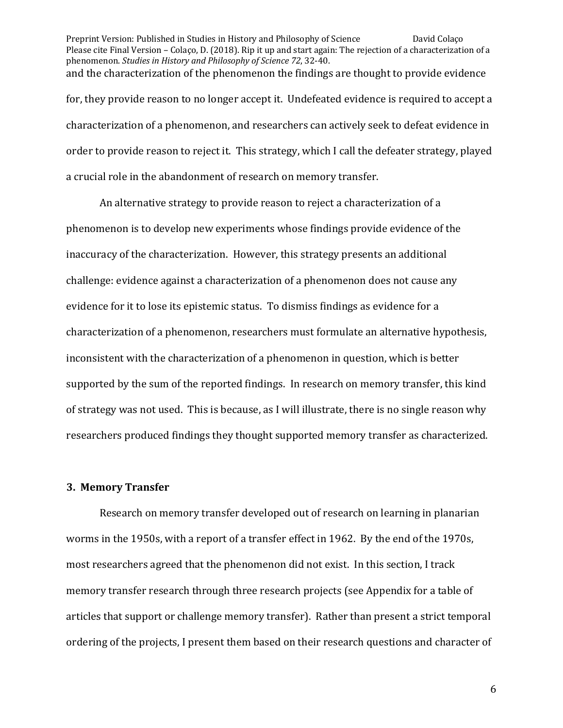Preprint Version: Published in Studies in History and Philosophy of Science David Colaço Please cite Final Version – Colaço, D. (2018). Rip it up and start again: The rejection of a characterization of a phenomenon. *Studies in History and Philosophy of Science* 72, 32-40. and the characterization of the phenomenon the findings are thought to provide evidence for, they provide reason to no longer accept it. Undefeated evidence is required to accept a characterization of a phenomenon, and researchers can actively seek to defeat evidence in order to provide reason to reject it. This strategy, which I call the defeater strategy, played a crucial role in the abandonment of research on memory transfer.

An alternative strategy to provide reason to reject a characterization of a phenomenon is to develop new experiments whose findings provide evidence of the inaccuracy of the characterization. However, this strategy presents an additional challenge: evidence against a characterization of a phenomenon does not cause any evidence for it to lose its epistemic status. To dismiss findings as evidence for a characterization of a phenomenon, researchers must formulate an alternative hypothesis, inconsistent with the characterization of a phenomenon in question, which is better supported by the sum of the reported findings. In research on memory transfer, this kind of strategy was not used. This is because, as I will illustrate, there is no single reason why researchers produced findings they thought supported memory transfer as characterized.

## **3. Memory Transfer**

Research on memory transfer developed out of research on learning in planarian worms in the 1950s, with a report of a transfer effect in 1962. By the end of the 1970s, most researchers agreed that the phenomenon did not exist. In this section, I track memory transfer research through three research projects (see Appendix for a table of articles that support or challenge memory transfer). Rather than present a strict temporal ordering of the projects, I present them based on their research questions and character of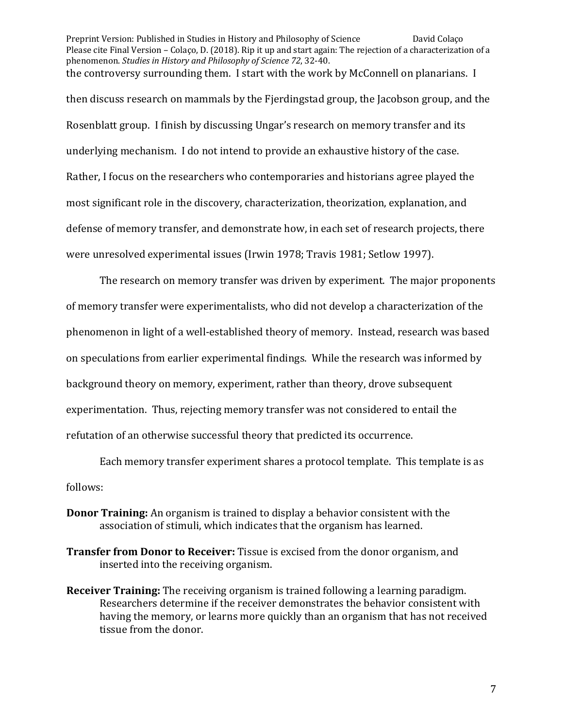Preprint Version: Published in Studies in History and Philosophy of Science David Colaço Please cite Final Version – Colaço, D. (2018). Rip it up and start again: The rejection of a characterization of a phenomenon. *Studies in History and Philosophy of Science* 72, 32-40. the controversy surrounding them. I start with the work by McConnell on planarians. I

then discuss research on mammals by the Fjerdingstad group, the Jacobson group, and the Rosenblatt group. I finish by discussing Ungar's research on memory transfer and its underlying mechanism. I do not intend to provide an exhaustive history of the case. Rather, I focus on the researchers who contemporaries and historians agree played the most significant role in the discovery, characterization, theorization, explanation, and defense of memory transfer, and demonstrate how, in each set of research projects, there were unresolved experimental issues (Irwin 1978; Travis 1981; Setlow 1997).

The research on memory transfer was driven by experiment. The major proponents of memory transfer were experimentalists, who did not develop a characterization of the phenomenon in light of a well-established theory of memory. Instead, research was based on speculations from earlier experimental findings. While the research was informed by background theory on memory, experiment, rather than theory, drove subsequent experimentation. Thus, rejecting memory transfer was not considered to entail the refutation of an otherwise successful theory that predicted its occurrence.

Each memory transfer experiment shares a protocol template. This template is as follows:

- **Donor Training:** An organism is trained to display a behavior consistent with the association of stimuli, which indicates that the organism has learned.
- **Transfer from Donor to Receiver:** Tissue is excised from the donor organism, and inserted into the receiving organism.
- **Receiver Training:** The receiving organism is trained following a learning paradigm. Researchers determine if the receiver demonstrates the behavior consistent with having the memory, or learns more quickly than an organism that has not received tissue from the donor.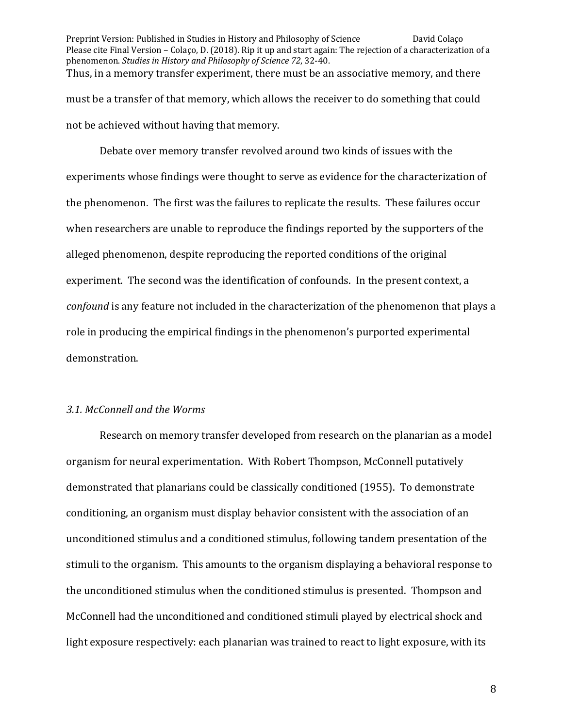Preprint Version: Published in Studies in History and Philosophy of Science David Colaço Please cite Final Version – Colaço, D. (2018). Rip it up and start again: The rejection of a characterization of a phenomenon. *Studies in History and Philosophy of Science* 72, 32-40. Thus, in a memory transfer experiment, there must be an associative memory, and there must be a transfer of that memory, which allows the receiver to do something that could not be achieved without having that memory.

Debate over memory transfer revolved around two kinds of issues with the experiments whose findings were thought to serve as evidence for the characterization of the phenomenon. The first was the failures to replicate the results. These failures occur when researchers are unable to reproduce the findings reported by the supporters of the alleged phenomenon, despite reproducing the reported conditions of the original experiment. The second was the identification of confounds. In the present context, a *confound* is any feature not included in the characterization of the phenomenon that plays a role in producing the empirical findings in the phenomenon's purported experimental demonstration. 

#### *3.1. McConnell and the Worms*

Research on memory transfer developed from research on the planarian as a model organism for neural experimentation. With Robert Thompson, McConnell putatively demonstrated that planarians could be classically conditioned (1955). To demonstrate conditioning, an organism must display behavior consistent with the association of an unconditioned stimulus and a conditioned stimulus, following tandem presentation of the stimuli to the organism. This amounts to the organism displaying a behavioral response to the unconditioned stimulus when the conditioned stimulus is presented. Thompson and McConnell had the unconditioned and conditioned stimuli played by electrical shock and light exposure respectively: each planarian was trained to react to light exposure, with its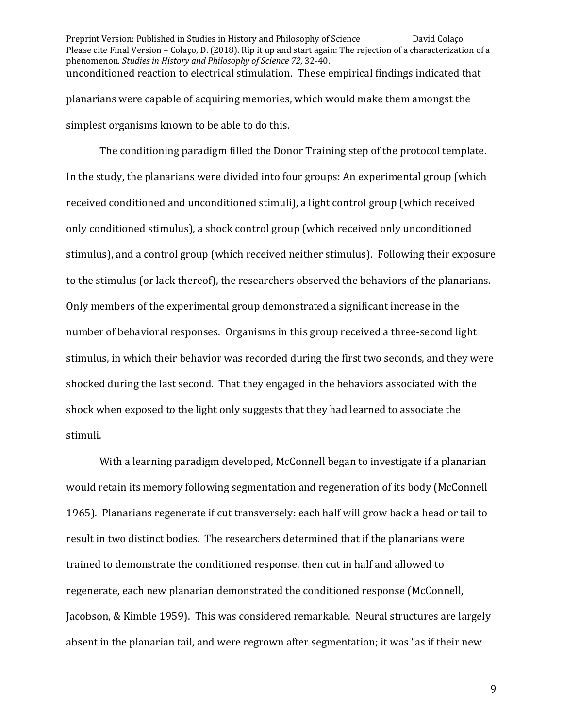Preprint Version: Published in Studies in History and Philosophy of Science David Colaço Please cite Final Version – Colaço, D. (2018). Rip it up and start again: The rejection of a characterization of a phenomenon. *Studies in History and Philosophy of Science* 72, 32-40. unconditioned reaction to electrical stimulation. These empirical findings indicated that planarians were capable of acquiring memories, which would make them amongst the simplest organisms known to be able to do this.

The conditioning paradigm filled the Donor Training step of the protocol template. In the study, the planarians were divided into four groups: An experimental group (which received conditioned and unconditioned stimuli), a light control group (which received only conditioned stimulus), a shock control group (which received only unconditioned stimulus), and a control group (which received neither stimulus). Following their exposure to the stimulus (or lack thereof), the researchers observed the behaviors of the planarians. Only members of the experimental group demonstrated a significant increase in the number of behavioral responses. Organisms in this group received a three-second light stimulus, in which their behavior was recorded during the first two seconds, and they were shocked during the last second. That they engaged in the behaviors associated with the shock when exposed to the light only suggests that they had learned to associate the stimuli. 

With a learning paradigm developed, McConnell began to investigate if a planarian would retain its memory following segmentation and regeneration of its body (McConnell 1965). Planarians regenerate if cut transversely: each half will grow back a head or tail to result in two distinct bodies. The researchers determined that if the planarians were trained to demonstrate the conditioned response, then cut in half and allowed to regenerate, each new planarian demonstrated the conditioned response (McConnell, Jacobson, & Kimble 1959). This was considered remarkable. Neural structures are largely absent in the planarian tail, and were regrown after segmentation; it was "as if their new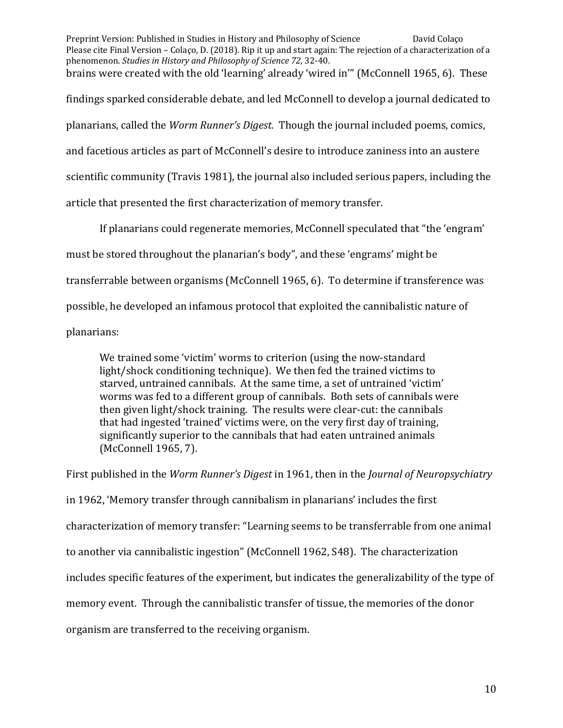Preprint Version: Published in Studies in History and Philosophy of Science David Colaço Please cite Final Version – Colaço, D. (2018). Rip it up and start again: The rejection of a characterization of a phenomenon. *Studies in History and Philosophy of Science* 72, 32-40. brains were created with the old 'learning' already 'wired in'" (McConnell 1965, 6). These findings sparked considerable debate, and led McConnell to develop a journal dedicated to planarians, called the *Worm Runner's Digest*. Though the journal included poems, comics, and facetious articles as part of McConnell's desire to introduce zaniness into an austere scientific community (Travis 1981), the journal also included serious papers, including the article that presented the first characterization of memory transfer.

If planarians could regenerate memories, McConnell speculated that "the 'engram' must be stored throughout the planarian's body", and these 'engrams' might be transferrable between organisms (McConnell 1965, 6). To determine if transference was possible, he developed an infamous protocol that exploited the cannibalistic nature of planarians:

We trained some 'victim' worms to criterion (using the now-standard light/shock conditioning technique). We then fed the trained victims to starved, untrained cannibals. At the same time, a set of untrained 'victim' worms was fed to a different group of cannibals. Both sets of cannibals were then given light/shock training. The results were clear-cut: the cannibals that had ingested 'trained' victims were, on the very first day of training, significantly superior to the cannibals that had eaten untrained animals (McConnell 1965, 7).

First published in the *Worm Runner's Digest* in 1961, then in the *Journal of Neuropsychiatry* in 1962, 'Memory transfer through cannibalism in planarians' includes the first characterization of memory transfer: "Learning seems to be transferrable from one animal to another via cannibalistic ingestion" (McConnell 1962, S48). The characterization includes specific features of the experiment, but indicates the generalizability of the type of memory event. Through the cannibalistic transfer of tissue, the memories of the donor organism are transferred to the receiving organism.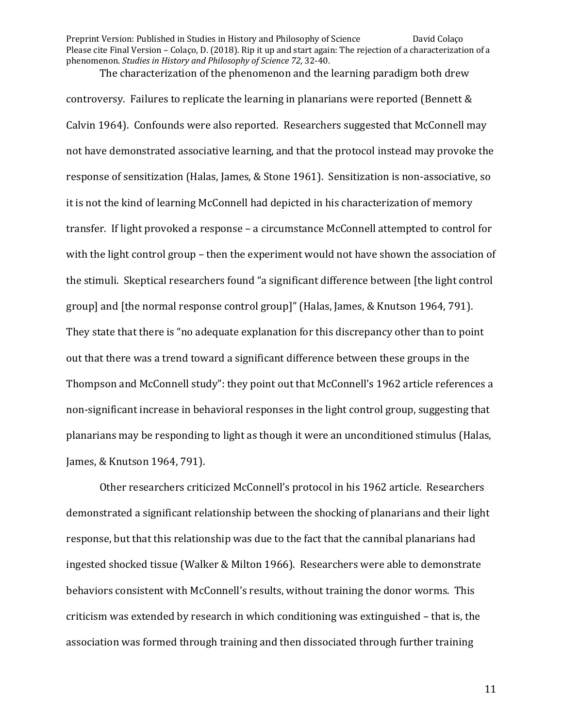The characterization of the phenomenon and the learning paradigm both drew controversy. Failures to replicate the learning in planarians were reported (Bennett & Calvin 1964). Confounds were also reported. Researchers suggested that McConnell may not have demonstrated associative learning, and that the protocol instead may provoke the response of sensitization (Halas, James, & Stone 1961). Sensitization is non-associative, so it is not the kind of learning McConnell had depicted in his characterization of memory transfer. If light provoked a response – a circumstance McConnell attempted to control for with the light control group – then the experiment would not have shown the association of the stimuli. Skeptical researchers found "a significant difference between [the light control group] and [the normal response control group]" (Halas, James, & Knutson 1964, 791). They state that there is "no adequate explanation for this discrepancy other than to point out that there was a trend toward a significant difference between these groups in the Thompson and McConnell study": they point out that McConnell's 1962 article references a non-significant increase in behavioral responses in the light control group, suggesting that planarians may be responding to light as though it were an unconditioned stimulus (Halas, James, & Knutson 1964, 791).

Other researchers criticized McConnell's protocol in his 1962 article. Researchers demonstrated a significant relationship between the shocking of planarians and their light response, but that this relationship was due to the fact that the cannibal planarians had ingested shocked tissue (Walker & Milton 1966). Researchers were able to demonstrate behaviors consistent with McConnell's results, without training the donor worms. This criticism was extended by research in which conditioning was extinguished - that is, the association was formed through training and then dissociated through further training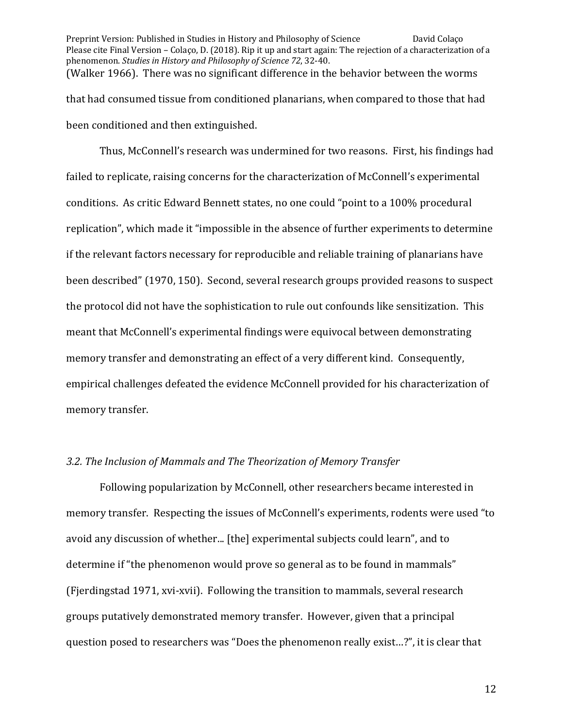Preprint Version: Published in Studies in History and Philosophy of Science David Colaço Please cite Final Version – Colaço, D. (2018). Rip it up and start again: The rejection of a characterization of a phenomenon. *Studies in History and Philosophy of Science* 72, 32-40. (Walker 1966). There was no significant difference in the behavior between the worms that had consumed tissue from conditioned planarians, when compared to those that had been conditioned and then extinguished.

Thus, McConnell's research was undermined for two reasons. First, his findings had failed to replicate, raising concerns for the characterization of McConnell's experimental conditions. As critic Edward Bennett states, no one could "point to a 100% procedural replication", which made it "impossible in the absence of further experiments to determine if the relevant factors necessary for reproducible and reliable training of planarians have been described" (1970, 150). Second, several research groups provided reasons to suspect the protocol did not have the sophistication to rule out confounds like sensitization. This meant that McConnell's experimental findings were equivocal between demonstrating memory transfer and demonstrating an effect of a very different kind. Consequently, empirical challenges defeated the evidence McConnell provided for his characterization of memory transfer.

## 3.2. The Inclusion of Mammals and The Theorization of Memory Transfer

Following popularization by McConnell, other researchers became interested in memory transfer. Respecting the issues of McConnell's experiments, rodents were used "to avoid any discussion of whether... [the] experimental subjects could learn", and to determine if "the phenomenon would prove so general as to be found in mammals" (Fjerdingstad 1971, xvi-xvii). Following the transition to mammals, several research groups putatively demonstrated memory transfer. However, given that a principal question posed to researchers was "Does the phenomenon really exist...?", it is clear that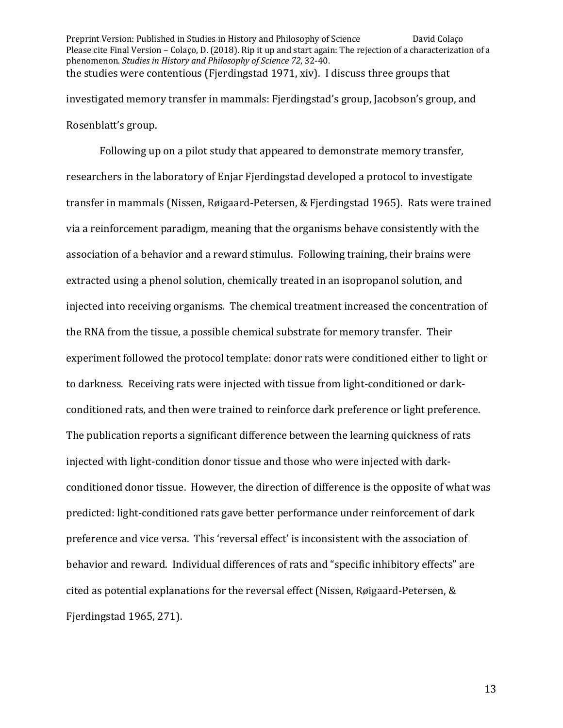Preprint Version: Published in Studies in History and Philosophy of Science David Colaço Please cite Final Version – Colaço, D. (2018). Rip it up and start again: The rejection of a characterization of a phenomenon. *Studies in History and Philosophy of Science* 72, 32-40. the studies were contentious (Fjerdingstad 1971, xiv). I discuss three groups that investigated memory transfer in mammals: Fjerdingstad's group, Jacobson's group, and Rosenblatt's group.

Following up on a pilot study that appeared to demonstrate memory transfer, researchers in the laboratory of Enjar Fjerdingstad developed a protocol to investigate transfer in mammals (Nissen, Røigaard-Petersen, & Fjerdingstad 1965). Rats were trained via a reinforcement paradigm, meaning that the organisms behave consistently with the association of a behavior and a reward stimulus. Following training, their brains were extracted using a phenol solution, chemically treated in an isopropanol solution, and injected into receiving organisms. The chemical treatment increased the concentration of the RNA from the tissue, a possible chemical substrate for memory transfer. Their experiment followed the protocol template: donor rats were conditioned either to light or to darkness. Receiving rats were injected with tissue from light-conditioned or darkconditioned rats, and then were trained to reinforce dark preference or light preference. The publication reports a significant difference between the learning quickness of rats injected with light-condition donor tissue and those who were injected with darkconditioned donor tissue. However, the direction of difference is the opposite of what was predicted: light-conditioned rats gave better performance under reinforcement of dark preference and vice versa. This 'reversal effect' is inconsistent with the association of behavior and reward. Individual differences of rats and "specific inhibitory effects" are cited as potential explanations for the reversal effect (Nissen, Røigaard-Petersen,  $\&$ Fjerdingstad  $1965, 271$ ).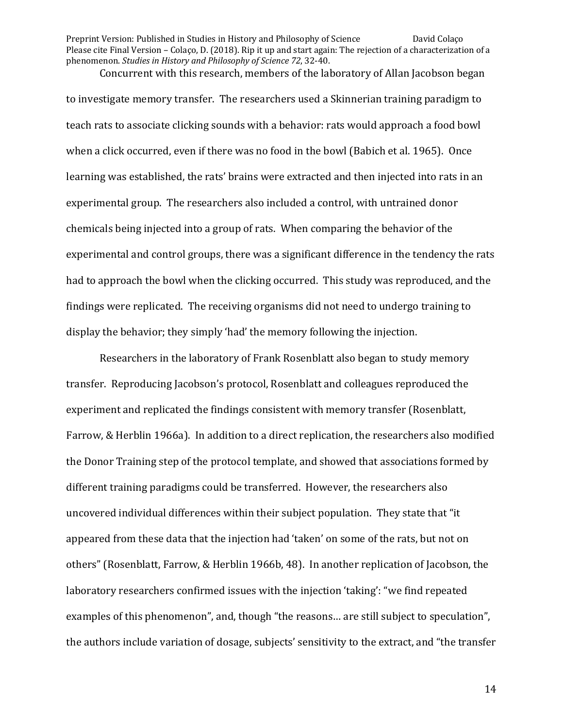Concurrent with this research, members of the laboratory of Allan Jacobson began to investigate memory transfer. The researchers used a Skinnerian training paradigm to teach rats to associate clicking sounds with a behavior: rats would approach a food bowl when a click occurred, even if there was no food in the bowl (Babich et al. 1965). Once learning was established, the rats' brains were extracted and then injected into rats in an experimental group. The researchers also included a control, with untrained donor chemicals being injected into a group of rats. When comparing the behavior of the experimental and control groups, there was a significant difference in the tendency the rats had to approach the bowl when the clicking occurred. This study was reproduced, and the findings were replicated. The receiving organisms did not need to undergo training to display the behavior; they simply 'had' the memory following the injection.

Researchers in the laboratory of Frank Rosenblatt also began to study memory transfer. Reproducing Jacobson's protocol, Rosenblatt and colleagues reproduced the experiment and replicated the findings consistent with memory transfer (Rosenblatt, Farrow, & Herblin 1966a). In addition to a direct replication, the researchers also modified the Donor Training step of the protocol template, and showed that associations formed by different training paradigms could be transferred. However, the researchers also uncovered individual differences within their subject population. They state that "it appeared from these data that the injection had 'taken' on some of the rats, but not on others" (Rosenblatt, Farrow, & Herblin 1966b, 48). In another replication of Jacobson, the laboratory researchers confirmed issues with the injection 'taking': "we find repeated examples of this phenomenon", and, though "the reasons... are still subject to speculation", the authors include variation of dosage, subjects' sensitivity to the extract, and "the transfer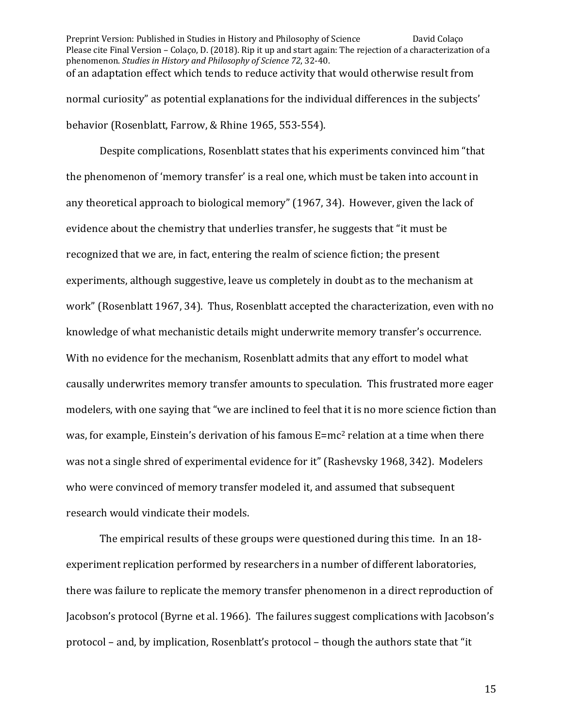Preprint Version: Published in Studies in History and Philosophy of Science David Colaço Please cite Final Version – Colaço, D. (2018). Rip it up and start again: The rejection of a characterization of a phenomenon. *Studies in History and Philosophy of Science* 72, 32-40. of an adaptation effect which tends to reduce activity that would otherwise result from normal curiosity" as potential explanations for the individual differences in the subjects' behavior (Rosenblatt, Farrow, & Rhine 1965, 553-554).

Despite complications, Rosenblatt states that his experiments convinced him "that the phenomenon of 'memory transfer' is a real one, which must be taken into account in any theoretical approach to biological memory" (1967, 34). However, given the lack of evidence about the chemistry that underlies transfer, he suggests that "it must be recognized that we are, in fact, entering the realm of science fiction; the present experiments, although suggestive, leave us completely in doubt as to the mechanism at work" (Rosenblatt 1967, 34). Thus, Rosenblatt accepted the characterization, even with no knowledge of what mechanistic details might underwrite memory transfer's occurrence. With no evidence for the mechanism, Rosenblatt admits that any effort to model what causally underwrites memory transfer amounts to speculation. This frustrated more eager modelers, with one saying that "we are inclined to feel that it is no more science fiction than was, for example, Einstein's derivation of his famous  $E=mc^2$  relation at a time when there was not a single shred of experimental evidence for it" (Rashevsky 1968, 342). Modelers who were convinced of memory transfer modeled it, and assumed that subsequent research would vindicate their models.

The empirical results of these groups were questioned during this time. In an 18experiment replication performed by researchers in a number of different laboratories, there was failure to replicate the memory transfer phenomenon in a direct reproduction of Jacobson's protocol (Byrne et al. 1966). The failures suggest complications with Jacobson's protocol – and, by implication, Rosenblatt's protocol – though the authors state that "it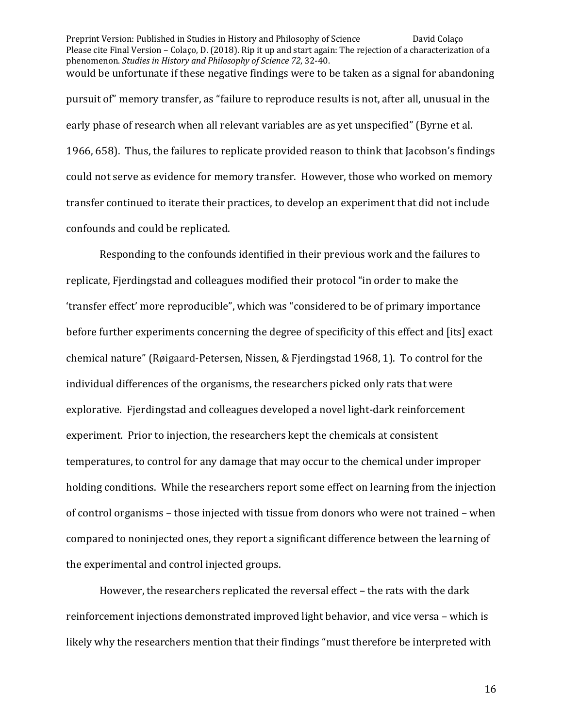Preprint Version: Published in Studies in History and Philosophy of Science David Colaço Please cite Final Version – Colaço, D. (2018). Rip it up and start again: The rejection of a characterization of a phenomenon. *Studies in History and Philosophy of Science* 72, 32-40. would be unfortunate if these negative findings were to be taken as a signal for abandoning pursuit of" memory transfer, as "failure to reproduce results is not, after all, unusual in the early phase of research when all relevant variables are as yet unspecified" (Byrne et al. 1966, 658). Thus, the failures to replicate provided reason to think that Jacobson's findings could not serve as evidence for memory transfer. However, those who worked on memory transfer continued to iterate their practices, to develop an experiment that did not include confounds and could be replicated.

Responding to the confounds identified in their previous work and the failures to replicate, Fjerdingstad and colleagues modified their protocol "in order to make the 'transfer effect' more reproducible", which was "considered to be of primary importance before further experiments concerning the degree of specificity of this effect and [its] exact chemical nature" (Røigaard-Petersen, Nissen, & Fjerdingstad 1968, 1). To control for the individual differences of the organisms, the researchers picked only rats that were explorative. Fjerdingstad and colleagues developed a novel light-dark reinforcement experiment. Prior to injection, the researchers kept the chemicals at consistent temperatures, to control for any damage that may occur to the chemical under improper holding conditions. While the researchers report some effect on learning from the injection of control organisms – those injected with tissue from donors who were not trained – when compared to noninjected ones, they report a significant difference between the learning of the experimental and control injected groups.

However, the researchers replicated the reversal effect - the rats with the dark reinforcement injections demonstrated improved light behavior, and vice versa - which is likely why the researchers mention that their findings "must therefore be interpreted with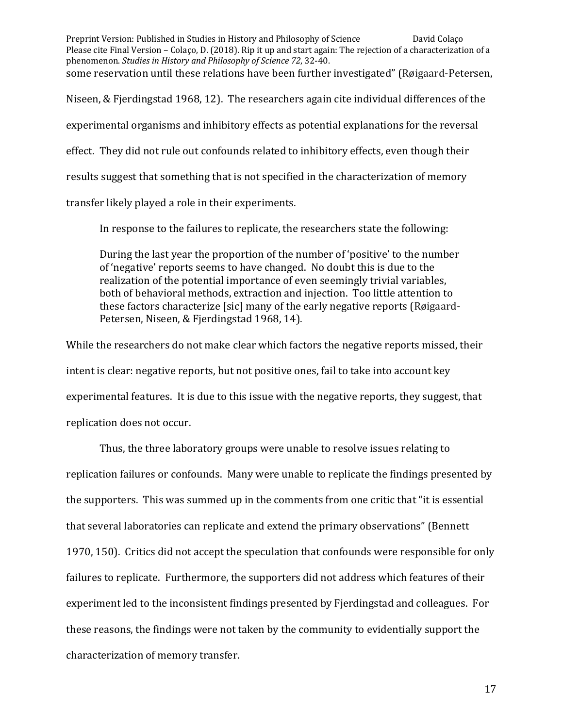Preprint Version: Published in Studies in History and Philosophy of Science David Colaço Please cite Final Version – Colaço, D. (2018). Rip it up and start again: The rejection of a characterization of a phenomenon. *Studies in History and Philosophy of Science* 72, 32-40. some reservation until these relations have been further investigated" (Røigaard-Petersen, Niseen, & Fjerdingstad 1968, 12). The researchers again cite individual differences of the experimental organisms and inhibitory effects as potential explanations for the reversal effect. They did not rule out confounds related to inhibitory effects, even though their results suggest that something that is not specified in the characterization of memory transfer likely played a role in their experiments.

In response to the failures to replicate, the researchers state the following:

During the last year the proportion of the number of 'positive' to the number of 'negative' reports seems to have changed. No doubt this is due to the realization of the potential importance of even seemingly trivial variables, both of behavioral methods, extraction and injection. Too little attention to these factors characterize [sic] many of the early negative reports (Røigaard-Petersen, Niseen, & Fjerdingstad 1968, 14).

While the researchers do not make clear which factors the negative reports missed, their intent is clear: negative reports, but not positive ones, fail to take into account key experimental features. It is due to this issue with the negative reports, they suggest, that replication does not occur.

Thus, the three laboratory groups were unable to resolve issues relating to replication failures or confounds. Many were unable to replicate the findings presented by the supporters. This was summed up in the comments from one critic that "it is essential that several laboratories can replicate and extend the primary observations" (Bennett 1970, 150). Critics did not accept the speculation that confounds were responsible for only failures to replicate. Furthermore, the supporters did not address which features of their experiment led to the inconsistent findings presented by Fierdingstad and colleagues. For these reasons, the findings were not taken by the community to evidentially support the characterization of memory transfer.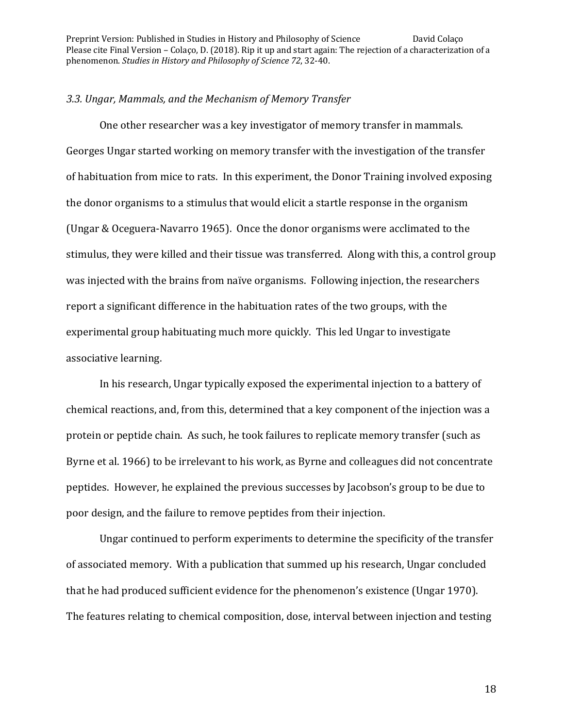#### *3.3. Ungar, Mammals, and the Mechanism of Memory Transfer*

One other researcher was a key investigator of memory transfer in mammals. Georges Ungar started working on memory transfer with the investigation of the transfer of habituation from mice to rats. In this experiment, the Donor Training involved exposing the donor organisms to a stimulus that would elicit a startle response in the organism (Ungar & Oceguera-Navarro 1965). Once the donor organisms were acclimated to the stimulus, they were killed and their tissue was transferred. Along with this, a control group was injected with the brains from naïve organisms. Following injection, the researchers report a significant difference in the habituation rates of the two groups, with the experimental group habituating much more quickly. This led Ungar to investigate associative learning.

In his research, Ungar typically exposed the experimental injection to a battery of chemical reactions, and, from this, determined that a key component of the injection was a protein or peptide chain. As such, he took failures to replicate memory transfer (such as Byrne et al. 1966) to be irrelevant to his work, as Byrne and colleagues did not concentrate peptides. However, he explained the previous successes by Jacobson's group to be due to poor design, and the failure to remove peptides from their injection.

Ungar continued to perform experiments to determine the specificity of the transfer of associated memory. With a publication that summed up his research, Ungar concluded that he had produced sufficient evidence for the phenomenon's existence (Ungar 1970). The features relating to chemical composition, dose, interval between injection and testing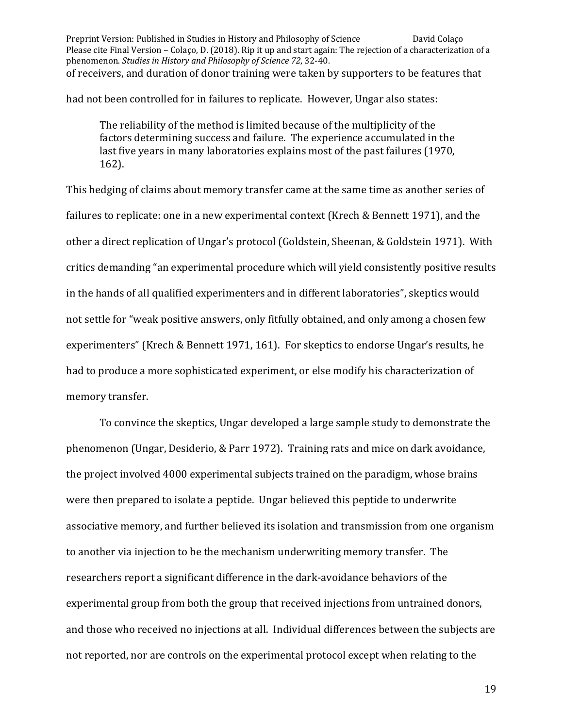Preprint Version: Published in Studies in History and Philosophy of Science David Colaço Please cite Final Version – Colaço, D. (2018). Rip it up and start again: The rejection of a characterization of a phenomenon. *Studies in History and Philosophy of Science* 72, 32-40. of receivers, and duration of donor training were taken by supporters to be features that

had not been controlled for in failures to replicate. However, Ungar also states:

The reliability of the method is limited because of the multiplicity of the factors determining success and failure. The experience accumulated in the last five years in many laboratories explains most of the past failures (1970, 162). 

This hedging of claims about memory transfer came at the same time as another series of failures to replicate: one in a new experimental context (Krech & Bennett 1971), and the other a direct replication of Ungar's protocol (Goldstein, Sheenan, & Goldstein 1971). With critics demanding "an experimental procedure which will yield consistently positive results in the hands of all qualified experimenters and in different laboratories", skeptics would not settle for "weak positive answers, only fitfully obtained, and only among a chosen few experimenters" (Krech & Bennett 1971, 161). For skeptics to endorse Ungar's results, he had to produce a more sophisticated experiment, or else modify his characterization of memory transfer.

To convince the skeptics, Ungar developed a large sample study to demonstrate the phenomenon (Ungar, Desiderio, & Parr 1972). Training rats and mice on dark avoidance, the project involved 4000 experimental subjects trained on the paradigm, whose brains were then prepared to isolate a peptide. Ungar believed this peptide to underwrite associative memory, and further believed its isolation and transmission from one organism to another via injection to be the mechanism underwriting memory transfer. The researchers report a significant difference in the dark-avoidance behaviors of the experimental group from both the group that received injections from untrained donors, and those who received no injections at all. Individual differences between the subjects are not reported, nor are controls on the experimental protocol except when relating to the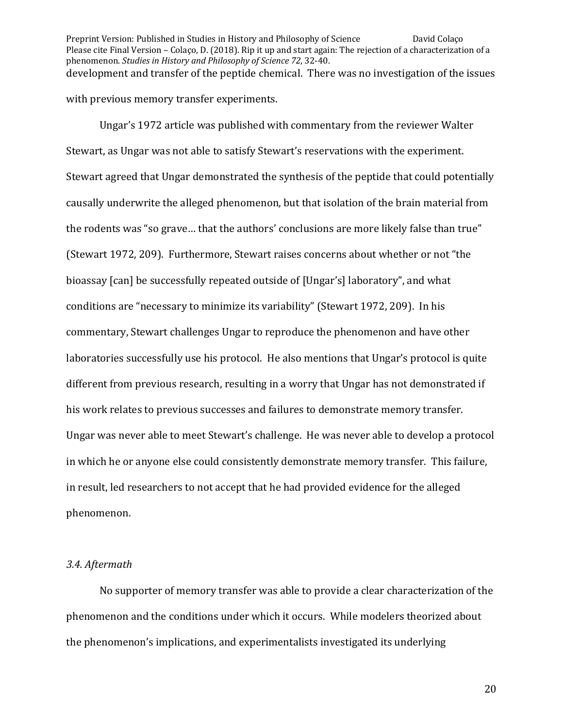Preprint Version: Published in Studies in History and Philosophy of Science David Colaço Please cite Final Version – Colaço, D. (2018). Rip it up and start again: The rejection of a characterization of a phenomenon. *Studies in History and Philosophy of Science* 72, 32-40. development and transfer of the peptide chemical. There was no investigation of the issues with previous memory transfer experiments.

Ungar's 1972 article was published with commentary from the reviewer Walter Stewart, as Ungar was not able to satisfy Stewart's reservations with the experiment. Stewart agreed that Ungar demonstrated the synthesis of the peptide that could potentially causally underwrite the alleged phenomenon, but that isolation of the brain material from the rodents was "so grave... that the authors' conclusions are more likely false than true" (Stewart 1972, 209). Furthermore, Stewart raises concerns about whether or not "the bioassay [can] be successfully repeated outside of [Ungar's] laboratory", and what conditions are "necessary to minimize its variability" (Stewart 1972, 209). In his commentary, Stewart challenges Ungar to reproduce the phenomenon and have other laboratories successfully use his protocol. He also mentions that Ungar's protocol is quite different from previous research, resulting in a worry that Ungar has not demonstrated if his work relates to previous successes and failures to demonstrate memory transfer. Ungar was never able to meet Stewart's challenge. He was never able to develop a protocol in which he or anyone else could consistently demonstrate memory transfer. This failure, in result, led researchers to not accept that he had provided evidence for the alleged phenomenon.

#### *3.4. Aftermath*

No supporter of memory transfer was able to provide a clear characterization of the phenomenon and the conditions under which it occurs. While modelers theorized about the phenomenon's implications, and experimentalists investigated its underlying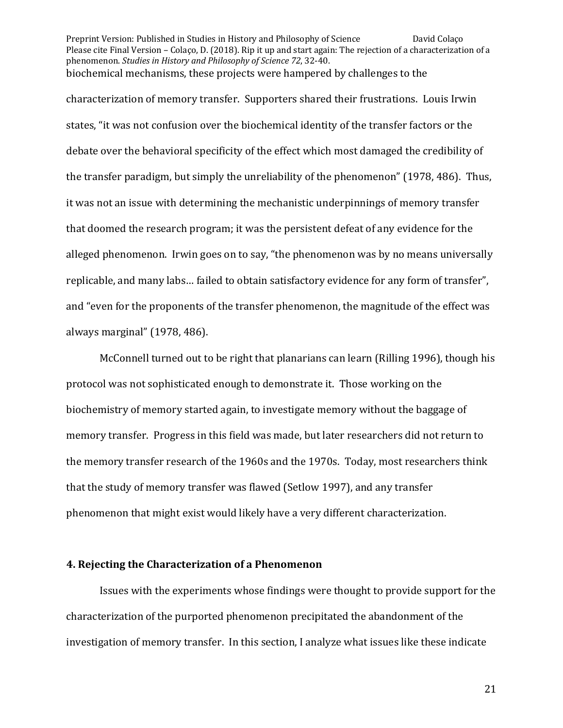Preprint Version: Published in Studies in History and Philosophy of Science David Colaço Please cite Final Version – Colaço, D. (2018). Rip it up and start again: The rejection of a characterization of a phenomenon. *Studies in History and Philosophy of Science* 72, 32-40. biochemical mechanisms, these projects were hampered by challenges to the

characterization of memory transfer. Supporters shared their frustrations. Louis Irwin states, "it was not confusion over the biochemical identity of the transfer factors or the debate over the behavioral specificity of the effect which most damaged the credibility of the transfer paradigm, but simply the unreliability of the phenomenon" (1978, 486). Thus, it was not an issue with determining the mechanistic underpinnings of memory transfer that doomed the research program; it was the persistent defeat of any evidence for the alleged phenomenon. Irwin goes on to say, "the phenomenon was by no means universally replicable, and many labs... failed to obtain satisfactory evidence for any form of transfer", and "even for the proponents of the transfer phenomenon, the magnitude of the effect was always marginal" (1978, 486).

McConnell turned out to be right that planarians can learn (Rilling 1996), though his protocol was not sophisticated enough to demonstrate it. Those working on the biochemistry of memory started again, to investigate memory without the baggage of memory transfer. Progress in this field was made, but later researchers did not return to the memory transfer research of the 1960s and the 1970s. Today, most researchers think that the study of memory transfer was flawed (Setlow 1997), and any transfer phenomenon that might exist would likely have a very different characterization.

#### **4. Rejecting the Characterization of a Phenomenon**

Issues with the experiments whose findings were thought to provide support for the characterization of the purported phenomenon precipitated the abandonment of the investigation of memory transfer. In this section, I analyze what issues like these indicate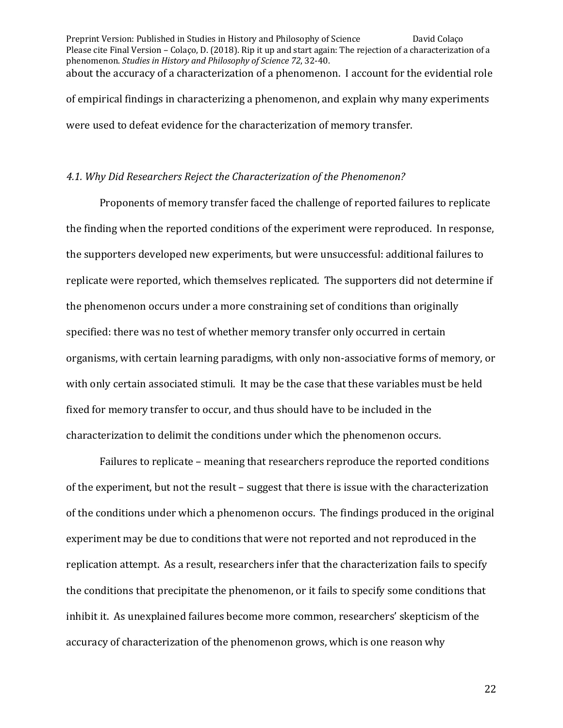Preprint Version: Published in Studies in History and Philosophy of Science David Colaço Please cite Final Version – Colaço, D. (2018). Rip it up and start again: The rejection of a characterization of a phenomenon. *Studies in History and Philosophy of Science* 72, 32-40. about the accuracy of a characterization of a phenomenon. I account for the evidential role of empirical findings in characterizing a phenomenon, and explain why many experiments were used to defeat evidence for the characterization of memory transfer.

## *4.1. Why Did Researchers Reject the Characterization of the Phenomenon?*

Proponents of memory transfer faced the challenge of reported failures to replicate the finding when the reported conditions of the experiment were reproduced. In response, the supporters developed new experiments, but were unsuccessful: additional failures to replicate were reported, which themselves replicated. The supporters did not determine if the phenomenon occurs under a more constraining set of conditions than originally specified: there was no test of whether memory transfer only occurred in certain organisms, with certain learning paradigms, with only non-associative forms of memory, or with only certain associated stimuli. It may be the case that these variables must be held fixed for memory transfer to occur, and thus should have to be included in the characterization to delimit the conditions under which the phenomenon occurs.

Failures to replicate – meaning that researchers reproduce the reported conditions of the experiment, but not the result – suggest that there is issue with the characterization of the conditions under which a phenomenon occurs. The findings produced in the original experiment may be due to conditions that were not reported and not reproduced in the replication attempt. As a result, researchers infer that the characterization fails to specify the conditions that precipitate the phenomenon, or it fails to specify some conditions that inhibit it. As unexplained failures become more common, researchers' skepticism of the accuracy of characterization of the phenomenon grows, which is one reason why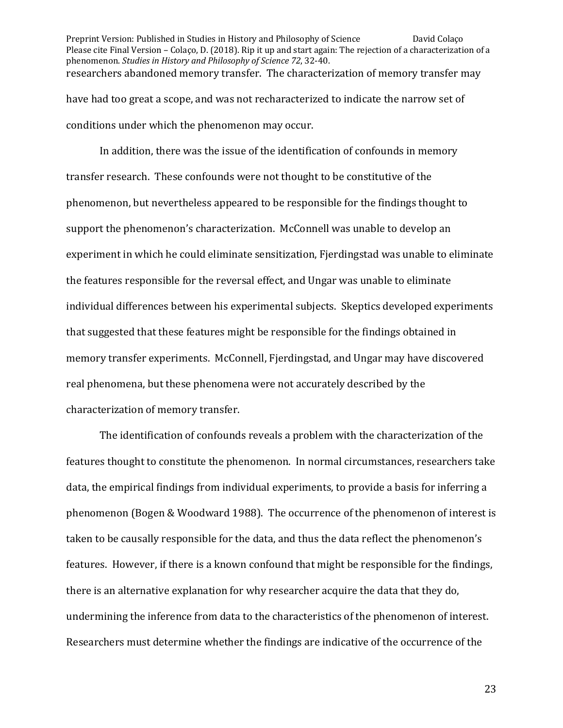Preprint Version: Published in Studies in History and Philosophy of Science David Colaço Please cite Final Version – Colaço, D. (2018). Rip it up and start again: The rejection of a characterization of a phenomenon. *Studies in History and Philosophy of Science* 72, 32-40. researchers abandoned memory transfer. The characterization of memory transfer may have had too great a scope, and was not recharacterized to indicate the narrow set of conditions under which the phenomenon may occur.

In addition, there was the issue of the identification of confounds in memory transfer research. These confounds were not thought to be constitutive of the phenomenon, but nevertheless appeared to be responsible for the findings thought to support the phenomenon's characterization. McConnell was unable to develop an experiment in which he could eliminate sensitization, Fierdingstad was unable to eliminate the features responsible for the reversal effect, and Ungar was unable to eliminate individual differences between his experimental subjects. Skeptics developed experiments that suggested that these features might be responsible for the findings obtained in memory transfer experiments. McConnell, Fjerdingstad, and Ungar may have discovered real phenomena, but these phenomena were not accurately described by the characterization of memory transfer.

The identification of confounds reveals a problem with the characterization of the features thought to constitute the phenomenon. In normal circumstances, researchers take data, the empirical findings from individual experiments, to provide a basis for inferring a phenomenon (Bogen & Woodward 1988). The occurrence of the phenomenon of interest is taken to be causally responsible for the data, and thus the data reflect the phenomenon's features. However, if there is a known confound that might be responsible for the findings, there is an alternative explanation for why researcher acquire the data that they do, undermining the inference from data to the characteristics of the phenomenon of interest. Researchers must determine whether the findings are indicative of the occurrence of the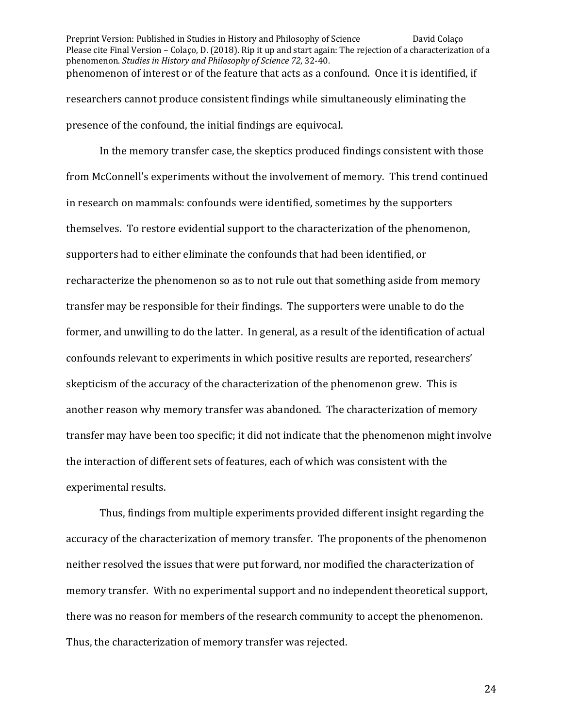Preprint Version: Published in Studies in History and Philosophy of Science David Colaço Please cite Final Version – Colaço, D. (2018). Rip it up and start again: The rejection of a characterization of a phenomenon. *Studies in History and Philosophy of Science* 72, 32-40. phenomenon of interest or of the feature that acts as a confound. Once it is identified, if researchers cannot produce consistent findings while simultaneously eliminating the presence of the confound, the initial findings are equivocal.

In the memory transfer case, the skeptics produced findings consistent with those from McConnell's experiments without the involvement of memory. This trend continued in research on mammals: confounds were identified, sometimes by the supporters themselves. To restore evidential support to the characterization of the phenomenon, supporters had to either eliminate the confounds that had been identified, or recharacterize the phenomenon so as to not rule out that something aside from memory transfer may be responsible for their findings. The supporters were unable to do the former, and unwilling to do the latter. In general, as a result of the identification of actual confounds relevant to experiments in which positive results are reported, researchers' skepticism of the accuracy of the characterization of the phenomenon grew. This is another reason why memory transfer was abandoned. The characterization of memory transfer may have been too specific; it did not indicate that the phenomenon might involve the interaction of different sets of features, each of which was consistent with the experimental results.

Thus, findings from multiple experiments provided different insight regarding the accuracy of the characterization of memory transfer. The proponents of the phenomenon neither resolved the issues that were put forward, nor modified the characterization of memory transfer. With no experimental support and no independent theoretical support, there was no reason for members of the research community to accept the phenomenon. Thus, the characterization of memory transfer was rejected.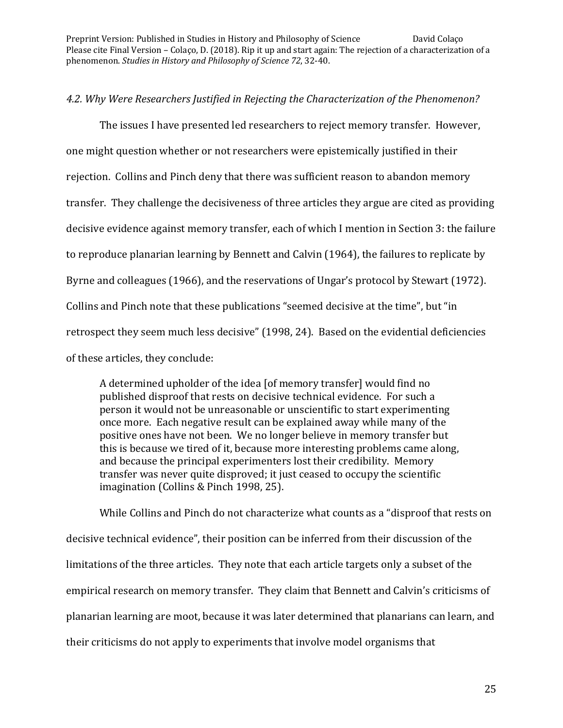# 4.2. Why Were Researchers Justified in Rejecting the Characterization of the Phenomenon?

The issues I have presented led researchers to reject memory transfer. However, one might question whether or not researchers were epistemically justified in their rejection. Collins and Pinch deny that there was sufficient reason to abandon memory transfer. They challenge the decisiveness of three articles they argue are cited as providing decisive evidence against memory transfer, each of which I mention in Section 3: the failure to reproduce planarian learning by Bennett and Calvin (1964), the failures to replicate by Byrne and colleagues (1966), and the reservations of Ungar's protocol by Stewart (1972). Collins and Pinch note that these publications "seemed decisive at the time", but "in retrospect they seem much less decisive" (1998, 24). Based on the evidential deficiencies of these articles, they conclude:

A determined upholder of the idea [of memory transfer] would find no published disproof that rests on decisive technical evidence. For such a person it would not be unreasonable or unscientific to start experimenting once more. Each negative result can be explained away while many of the positive ones have not been. We no longer believe in memory transfer but this is because we tired of it, because more interesting problems came along, and because the principal experimenters lost their credibility. Memory transfer was never quite disproved; it just ceased to occupy the scientific imagination (Collins & Pinch 1998, 25).

While Collins and Pinch do not characterize what counts as a "disproof that rests on decisive technical evidence", their position can be inferred from their discussion of the limitations of the three articles. They note that each article targets only a subset of the empirical research on memory transfer. They claim that Bennett and Calvin's criticisms of planarian learning are moot, because it was later determined that planarians can learn, and their criticisms do not apply to experiments that involve model organisms that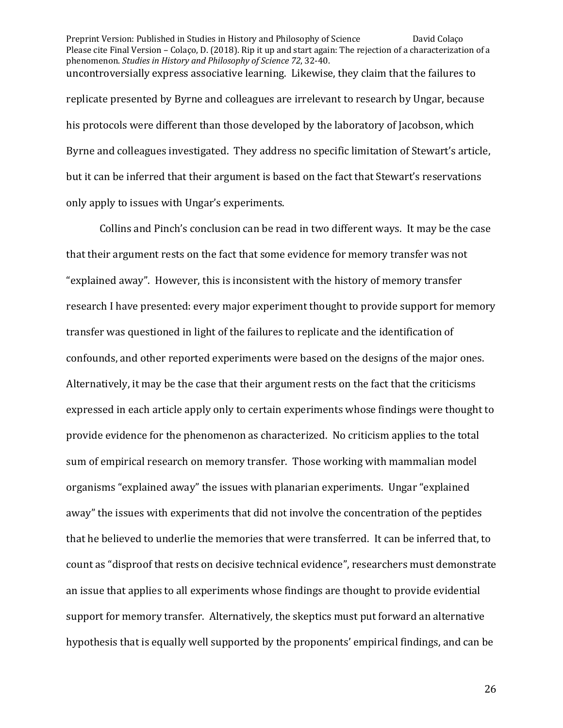Preprint Version: Published in Studies in History and Philosophy of Science David Colaço Please cite Final Version – Colaço, D. (2018). Rip it up and start again: The rejection of a characterization of a phenomenon. *Studies in History and Philosophy of Science* 72, 32-40. uncontroversially express associative learning. Likewise, they claim that the failures to replicate presented by Byrne and colleagues are irrelevant to research by Ungar, because his protocols were different than those developed by the laboratory of Jacobson, which Byrne and colleagues investigated. They address no specific limitation of Stewart's article, but it can be inferred that their argument is based on the fact that Stewart's reservations only apply to issues with Ungar's experiments.

Collins and Pinch's conclusion can be read in two different ways. It may be the case that their argument rests on the fact that some evidence for memory transfer was not "explained away". However, this is inconsistent with the history of memory transfer research I have presented: every major experiment thought to provide support for memory transfer was questioned in light of the failures to replicate and the identification of confounds, and other reported experiments were based on the designs of the major ones. Alternatively, it may be the case that their argument rests on the fact that the criticisms expressed in each article apply only to certain experiments whose findings were thought to provide evidence for the phenomenon as characterized. No criticism applies to the total sum of empirical research on memory transfer. Those working with mammalian model organisms "explained away" the issues with planarian experiments. Ungar "explained" away" the issues with experiments that did not involve the concentration of the peptides that he believed to underlie the memories that were transferred. It can be inferred that, to count as "disproof that rests on decisive technical evidence", researchers must demonstrate an issue that applies to all experiments whose findings are thought to provide evidential support for memory transfer. Alternatively, the skeptics must put forward an alternative hypothesis that is equally well supported by the proponents' empirical findings, and can be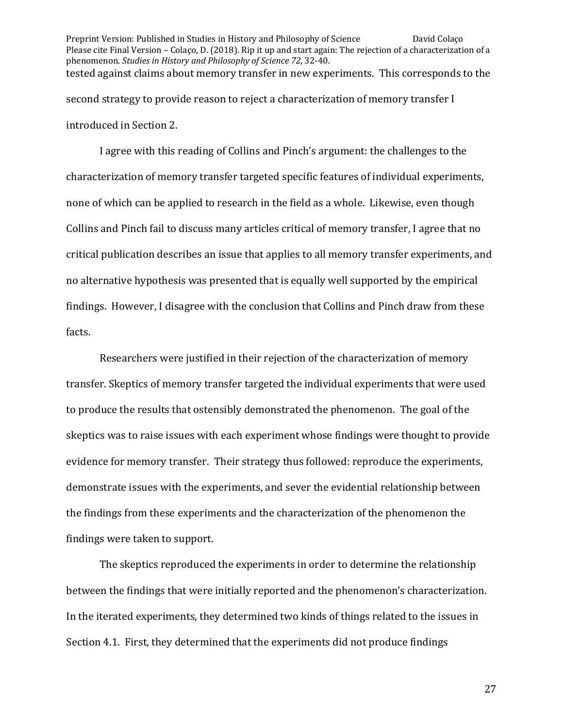Preprint Version: Published in Studies in History and Philosophy of Science David Colaço Please cite Final Version – Colaço, D. (2018). Rip it up and start again: The rejection of a characterization of a phenomenon. *Studies in History and Philosophy of Science* 72, 32-40. tested against claims about memory transfer in new experiments. This corresponds to the second strategy to provide reason to reject a characterization of memory transfer I introduced in Section 2.

I agree with this reading of Collins and Pinch's argument: the challenges to the characterization of memory transfer targeted specific features of individual experiments, none of which can be applied to research in the field as a whole. Likewise, even though Collins and Pinch fail to discuss many articles critical of memory transfer, I agree that no critical publication describes an issue that applies to all memory transfer experiments, and no alternative hypothesis was presented that is equally well supported by the empirical findings. However, I disagree with the conclusion that Collins and Pinch draw from these facts. 

Researchers were justified in their rejection of the characterization of memory transfer. Skeptics of memory transfer targeted the individual experiments that were used to produce the results that ostensibly demonstrated the phenomenon. The goal of the skeptics was to raise issues with each experiment whose findings were thought to provide evidence for memory transfer. Their strategy thus followed: reproduce the experiments, demonstrate issues with the experiments, and sever the evidential relationship between the findings from these experiments and the characterization of the phenomenon the findings were taken to support.

The skeptics reproduced the experiments in order to determine the relationship between the findings that were initially reported and the phenomenon's characterization. In the iterated experiments, they determined two kinds of things related to the issues in Section 4.1. First, they determined that the experiments did not produce findings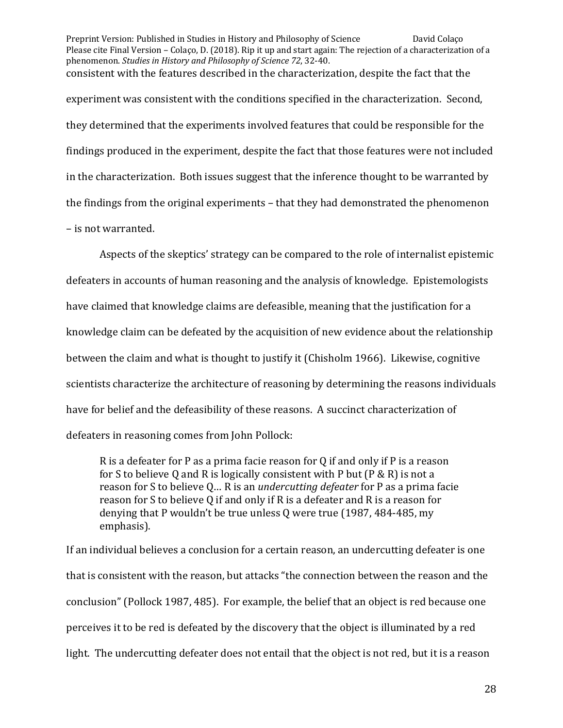Preprint Version: Published in Studies in History and Philosophy of Science David Colaço Please cite Final Version – Colaço, D. (2018). Rip it up and start again: The rejection of a characterization of a phenomenon. *Studies in History and Philosophy of Science* 72, 32-40. consistent with the features described in the characterization, despite the fact that the experiment was consistent with the conditions specified in the characterization. Second, they determined that the experiments involved features that could be responsible for the findings produced in the experiment, despite the fact that those features were not included in the characterization. Both issues suggest that the inference thought to be warranted by the findings from the original experiments  $-$  that they had demonstrated the phenomenon - is not warranted.

Aspects of the skeptics' strategy can be compared to the role of internalist epistemic defeaters in accounts of human reasoning and the analysis of knowledge. Epistemologists have claimed that knowledge claims are defeasible, meaning that the justification for a knowledge claim can be defeated by the acquisition of new evidence about the relationship between the claim and what is thought to justify it (Chisholm 1966). Likewise, cognitive scientists characterize the architecture of reasoning by determining the reasons individuals have for belief and the defeasibility of these reasons. A succinct characterization of defeaters in reasoning comes from John Pollock:

R is a defeater for P as a prima facie reason for Q if and only if P is a reason for S to believe Q and R is logically consistent with P but  $(P & R)$  is not a reason for S to believe Q... R is an *undercutting defeater* for P as a prima facie reason for S to believe Q if and only if R is a defeater and R is a reason for denying that P wouldn't be true unless  $0$  were true (1987, 484-485, my emphasis).

If an individual believes a conclusion for a certain reason, an undercutting defeater is one that is consistent with the reason, but attacks "the connection between the reason and the conclusion" (Pollock 1987, 485). For example, the belief that an object is red because one perceives it to be red is defeated by the discovery that the object is illuminated by a red light. The undercutting defeater does not entail that the object is not red, but it is a reason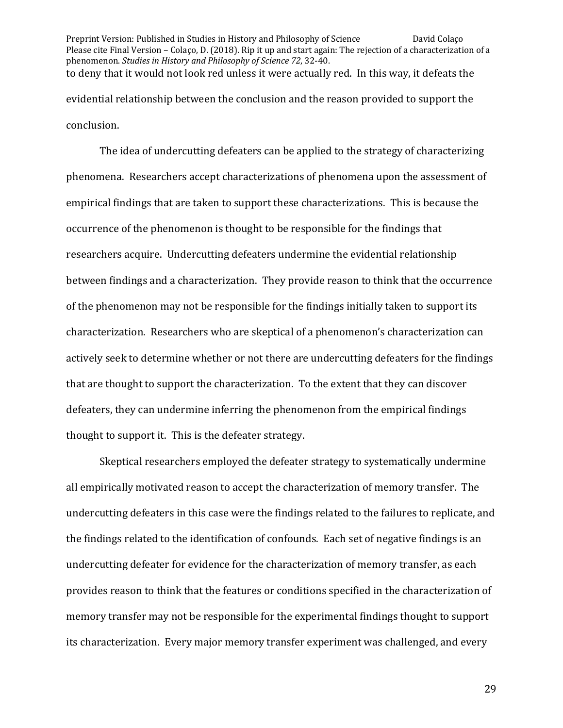Preprint Version: Published in Studies in History and Philosophy of Science David Colaço Please cite Final Version – Colaço, D. (2018). Rip it up and start again: The rejection of a characterization of a phenomenon. *Studies in History and Philosophy of Science* 72, 32-40. to deny that it would not look red unless it were actually red. In this way, it defeats the evidential relationship between the conclusion and the reason provided to support the conclusion. 

The idea of undercutting defeaters can be applied to the strategy of characterizing phenomena. Researchers accept characterizations of phenomena upon the assessment of empirical findings that are taken to support these characterizations. This is because the occurrence of the phenomenon is thought to be responsible for the findings that researchers acquire. Undercutting defeaters undermine the evidential relationship between findings and a characterization. They provide reason to think that the occurrence of the phenomenon may not be responsible for the findings initially taken to support its characterization. Researchers who are skeptical of a phenomenon's characterization can actively seek to determine whether or not there are undercutting defeaters for the findings that are thought to support the characterization. To the extent that they can discover defeaters, they can undermine inferring the phenomenon from the empirical findings thought to support it. This is the defeater strategy.

Skeptical researchers employed the defeater strategy to systematically undermine all empirically motivated reason to accept the characterization of memory transfer. The undercutting defeaters in this case were the findings related to the failures to replicate, and the findings related to the identification of confounds. Each set of negative findings is an undercutting defeater for evidence for the characterization of memory transfer, as each provides reason to think that the features or conditions specified in the characterization of memory transfer may not be responsible for the experimental findings thought to support its characterization. Every major memory transfer experiment was challenged, and every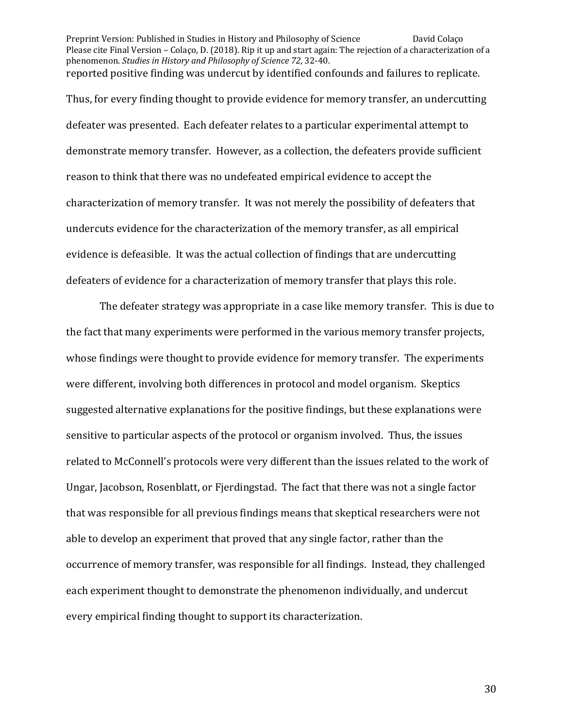Preprint Version: Published in Studies in History and Philosophy of Science David Colaço Please cite Final Version – Colaço, D. (2018). Rip it up and start again: The rejection of a characterization of a phenomenon. *Studies in History and Philosophy of Science* 72, 32-40. reported positive finding was undercut by identified confounds and failures to replicate.

Thus, for every finding thought to provide evidence for memory transfer, an undercutting defeater was presented. Each defeater relates to a particular experimental attempt to demonstrate memory transfer. However, as a collection, the defeaters provide sufficient reason to think that there was no undefeated empirical evidence to accept the characterization of memory transfer. It was not merely the possibility of defeaters that undercuts evidence for the characterization of the memory transfer, as all empirical evidence is defeasible. It was the actual collection of findings that are undercutting defeaters of evidence for a characterization of memory transfer that plays this role.

The defeater strategy was appropriate in a case like memory transfer. This is due to the fact that many experiments were performed in the various memory transfer projects, whose findings were thought to provide evidence for memory transfer. The experiments were different, involving both differences in protocol and model organism. Skeptics suggested alternative explanations for the positive findings, but these explanations were sensitive to particular aspects of the protocol or organism involved. Thus, the issues related to McConnell's protocols were very different than the issues related to the work of Ungar, Jacobson, Rosenblatt, or Fjerdingstad. The fact that there was not a single factor that was responsible for all previous findings means that skeptical researchers were not able to develop an experiment that proved that any single factor, rather than the occurrence of memory transfer, was responsible for all findings. Instead, they challenged each experiment thought to demonstrate the phenomenon individually, and undercut every empirical finding thought to support its characterization.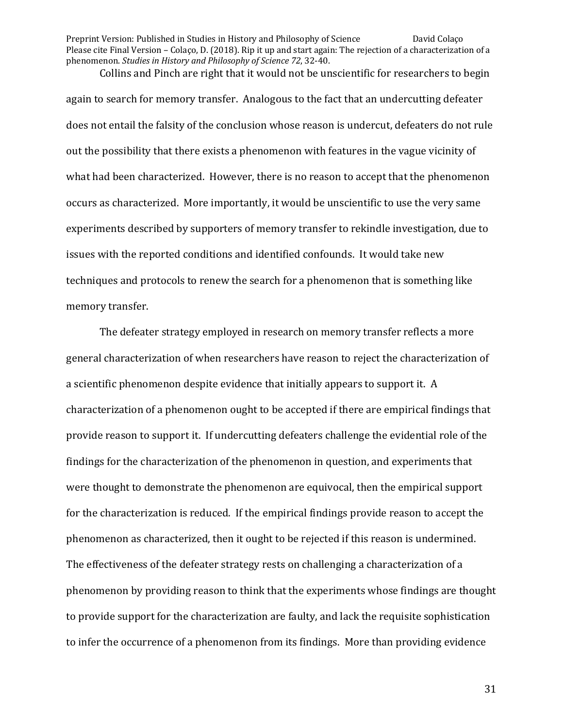Collins and Pinch are right that it would not be unscientific for researchers to begin again to search for memory transfer. Analogous to the fact that an undercutting defeater does not entail the falsity of the conclusion whose reason is undercut, defeaters do not rule out the possibility that there exists a phenomenon with features in the vague vicinity of what had been characterized. However, there is no reason to accept that the phenomenon occurs as characterized. More importantly, it would be unscientific to use the very same experiments described by supporters of memory transfer to rekindle investigation, due to issues with the reported conditions and identified confounds. It would take new techniques and protocols to renew the search for a phenomenon that is something like memory transfer.

The defeater strategy employed in research on memory transfer reflects a more general characterization of when researchers have reason to reject the characterization of a scientific phenomenon despite evidence that initially appears to support it. A characterization of a phenomenon ought to be accepted if there are empirical findings that provide reason to support it. If undercutting defeaters challenge the evidential role of the findings for the characterization of the phenomenon in question, and experiments that were thought to demonstrate the phenomenon are equivocal, then the empirical support for the characterization is reduced. If the empirical findings provide reason to accept the phenomenon as characterized, then it ought to be rejected if this reason is undermined. The effectiveness of the defeater strategy rests on challenging a characterization of a phenomenon by providing reason to think that the experiments whose findings are thought to provide support for the characterization are faulty, and lack the requisite sophistication to infer the occurrence of a phenomenon from its findings. More than providing evidence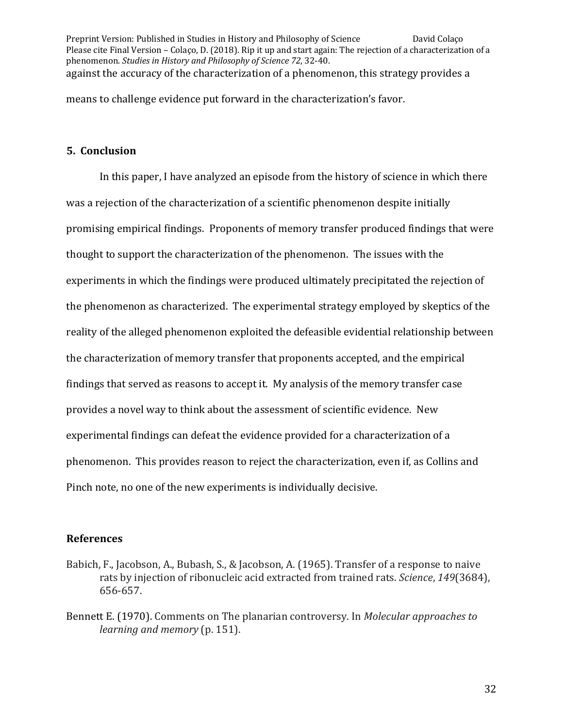Preprint Version: Published in Studies in History and Philosophy of Science David Colaço Please cite Final Version – Colaço, D. (2018). Rip it up and start again: The rejection of a characterization of a phenomenon. *Studies in History and Philosophy of Science* 72, 32-40. against the accuracy of the characterization of a phenomenon, this strategy provides a

means to challenge evidence put forward in the characterization's favor.

# **5. Conclusion**

In this paper, I have analyzed an episode from the history of science in which there was a rejection of the characterization of a scientific phenomenon despite initially promising empirical findings. Proponents of memory transfer produced findings that were thought to support the characterization of the phenomenon. The issues with the experiments in which the findings were produced ultimately precipitated the rejection of the phenomenon as characterized. The experimental strategy employed by skeptics of the reality of the alleged phenomenon exploited the defeasible evidential relationship between the characterization of memory transfer that proponents accepted, and the empirical findings that served as reasons to accept it. My analysis of the memory transfer case provides a novel way to think about the assessment of scientific evidence. New experimental findings can defeat the evidence provided for a characterization of a phenomenon. This provides reason to reject the characterization, even if, as Collins and Pinch note, no one of the new experiments is individually decisive.

## **References**

- Babich, F., Jacobson, A., Bubash, S., & Jacobson, A. (1965). Transfer of a response to naive rats by injection of ribonucleic acid extracted from trained rats. *Science*, 149(3684), 656-657.
- Bennett E. (1970). Comments on The planarian controversy. In *Molecular approaches to learning and memory* (p. 151).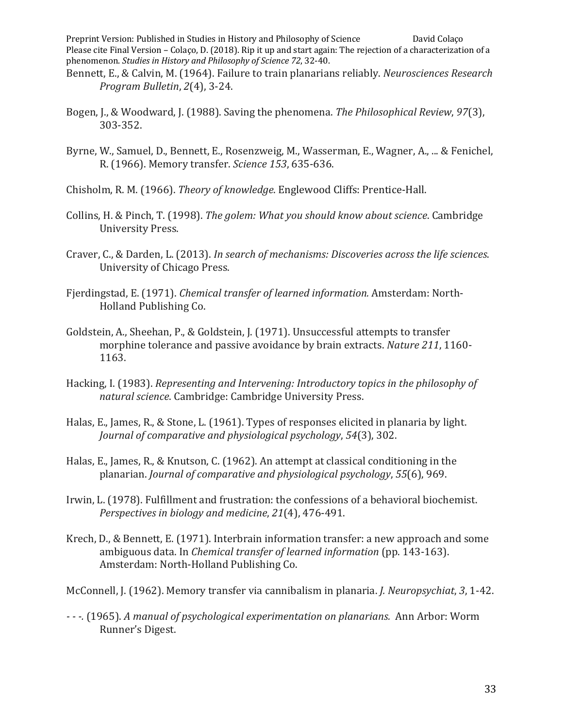- Bennett, E., & Calvin, M. (1964). Failure to train planarians reliably. *Neurosciences Research Program Bulletin, 2(4), 3-24.*
- Bogen, J., & Woodward, J. (1988). Saving the phenomena. *The Philosophical Review*, 97(3), 303-352.
- Byrne, W., Samuel, D., Bennett, E., Rosenzweig, M., Wasserman, E., Wagner, A., ... & Fenichel, R. (1966). Memory transfer. *Science 153*, 635-636.
- Chisholm, R. M. (1966). *Theory of knowledge*. Englewood Cliffs: Prentice-Hall.
- Collins, H. & Pinch, T. (1998). *The golem: What you should know about science*. Cambridge University Press.
- Craver, C., & Darden, L. (2013). *In search of mechanisms: Discoveries across the life sciences.* University of Chicago Press.
- Fjerdingstad, E. (1971). *Chemical transfer of learned information*. Amsterdam: North-Holland Publishing Co.
- Goldstein, A., Sheehan, P., & Goldstein, J. (1971). Unsuccessful attempts to transfer morphine tolerance and passive avoidance by brain extracts. *Nature* 211, 1160-1163.
- Hacking, I. (1983). *Representing and Intervening: Introductory topics in the philosophy of natural science.* Cambridge: Cambridge University Press.
- Halas, E., James, R., & Stone, L. (1961). Types of responses elicited in planaria by light. *Journal of comparative and physiological psychology,* 54(3), 302.
- Halas, E., James, R., & Knutson, C. (1962). An attempt at classical conditioning in the planarian. *Journal of comparative and physiological psychology*, 55(6), 969.
- Irwin, L. (1978). Fulfillment and frustration: the confessions of a behavioral biochemist. *Perspectives in biology and medicine, 21(4), 476-491.*
- Krech, D., & Bennett, E. (1971). Interbrain information transfer: a new approach and some ambiguous data. In *Chemical transfer of learned information* (pp. 143-163). Amsterdam: North-Holland Publishing Co.

McConnell, J. (1962). Memory transfer via cannibalism in planaria. *J. Neuropsychiat*, 3, 1-42.

*- - -.* (1965). *A manual of psychological experimentation on planarians.* Ann Arbor: Worm Runner's Digest.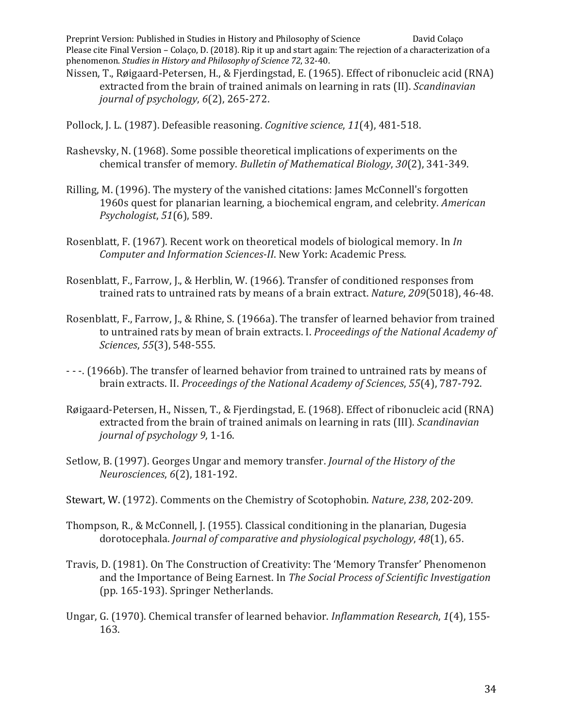- Nissen, T., Røigaard-Petersen, H., & Fjerdingstad, E. (1965). Effect of ribonucleic acid (RNA) extracted from the brain of trained animals on learning in rats (II). *Scandinavian journal of psychology*,  $6(2)$ , 265-272.
- Pollock, J. L. (1987). Defeasible reasoning. *Cognitive science*, 11(4), 481-518.
- Rashevsky, N. (1968). Some possible theoretical implications of experiments on the chemical transfer of memory. *Bulletin of Mathematical Biology*, 30(2), 341-349.
- Rilling, M. (1996). The mystery of the vanished citations: James McConnell's forgotten 1960s quest for planarian learning, a biochemical engram, and celebrity. *American Psychologist*, *51*(6), 589.
- Rosenblatt, F. (1967). Recent work on theoretical models of biological memory. In *In Computer and Information Sciences-II.* New York: Academic Press.
- Rosenblatt, F., Farrow, J., & Herblin, W. (1966). Transfer of conditioned responses from trained rats to untrained rats by means of a brain extract. *Nature*, 209(5018), 46-48.
- Rosenblatt, F., Farrow, J., & Rhine, S. (1966a). The transfer of learned behavior from trained to untrained rats by mean of brain extracts. I. *Proceedings of the National Academy of Sciences*, *55*(3), 548-555.
- - -. (1966b). The transfer of learned behavior from trained to untrained rats by means of brain extracts. II. *Proceedings of the National Academy of Sciences*, 55(4), 787-792.
- Røigaard-Petersen, H., Nissen, T., & Fjerdingstad, E. (1968). Effect of ribonucleic acid (RNA) extracted from the brain of trained animals on learning in rats (III). *Scandinavian journal of psychology* 9, 1-16.
- Setlow, B. (1997). Georges Ungar and memory transfer. *Journal of the History of the Neurosciences*, *6*(2), 181-192.
- Stewart, W. (1972). Comments on the Chemistry of Scotophobin. *Nature*, 238, 202-209.
- Thompson, R., & McConnell, J. (1955). Classical conditioning in the planarian, Dugesia dorotocephala. *Journal of comparative and physiological psychology*, 48(1), 65.
- Travis, D. (1981). On The Construction of Creativity: The 'Memory Transfer' Phenomenon and the Importance of Being Earnest. In *The Social Process of Scientific Investigation* (pp. 165-193). Springer Netherlands.
- Ungar, G. (1970). Chemical transfer of learned behavior. *Inflammation Research*, 1(4), 155-163.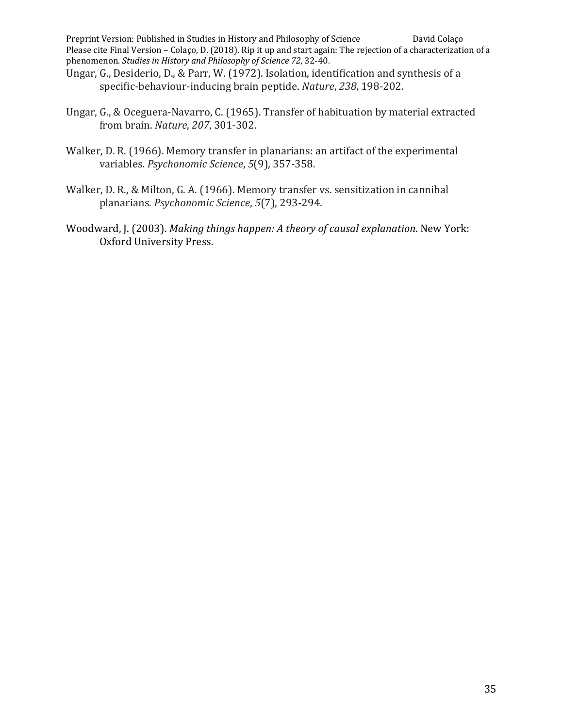- Ungar, G., Desiderio, D., & Parr, W. (1972). Isolation, identification and synthesis of a specific-behaviour-inducing brain peptide. *Nature*, 238, 198-202.
- Ungar, G., & Oceguera-Navarro, C. (1965). Transfer of habituation by material extracted from brain. *Nature*, *207*, 301-302.
- Walker, D. R. (1966). Memory transfer in planarians: an artifact of the experimental variables. *Psychonomic Science*, 5(9), 357-358.
- Walker, D. R., & Milton, G. A. (1966). Memory transfer vs. sensitization in cannibal planarians. *Psychonomic Science*, *5*(7), 293-294.
- Woodward, J. (2003). *Making things happen: A theory of causal explanation*. New York: Oxford University Press.